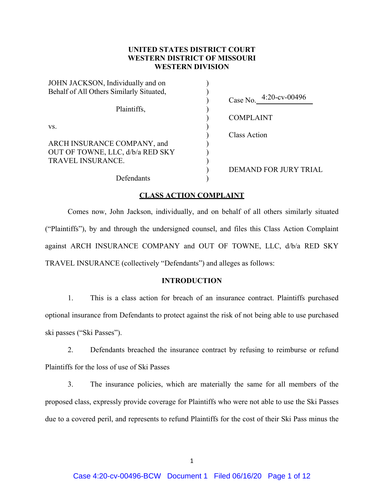# **UNITED STATES DISTRICT COURT WESTERN DISTRICT OF MISSOURI WESTERN DIVISION**

| Case No. 4:20-cv-00496       |
|------------------------------|
|                              |
| <b>COMPLAINT</b>             |
|                              |
| Class Action                 |
|                              |
|                              |
|                              |
| <b>DEMAND FOR JURY TRIAL</b> |
|                              |
|                              |

### **CLASS ACTION COMPLAINT**

Comes now, John Jackson, individually, and on behalf of all others similarly situated ("Plaintiffs"), by and through the undersigned counsel, and files this Class Action Complaint against ARCH INSURANCE COMPANY and OUT OF TOWNE, LLC, d/b/a RED SKY TRAVEL INSURANCE (collectively "Defendants") and alleges as follows:

## **INTRODUCTION**

1. This is a class action for breach of an insurance contract. Plaintiffs purchased optional insurance from Defendants to protect against the risk of not being able to use purchased ski passes ("Ski Passes").

2. Defendants breached the insurance contract by refusing to reimburse or refund Plaintiffs for the loss of use of Ski Passes

3. The insurance policies, which are materially the same for all members of the proposed class, expressly provide coverage for Plaintiffs who were not able to use the Ski Passes due to a covered peril, and represents to refund Plaintiffs for the cost of their Ski Pass minus the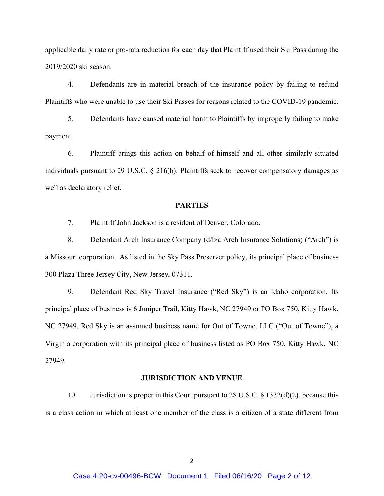applicable daily rate or pro-rata reduction for each day that Plaintiff used their Ski Pass during the 2019/2020 ski season.

4. Defendants are in material breach of the insurance policy by failing to refund Plaintiffs who were unable to use their Ski Passes for reasons related to the COVID-19 pandemic.

5. Defendants have caused material harm to Plaintiffs by improperly failing to make payment.

6. Plaintiff brings this action on behalf of himself and all other similarly situated individuals pursuant to 29 U.S.C. § 216(b). Plaintiffs seek to recover compensatory damages as well as declaratory relief.

#### **PARTIES**

7. Plaintiff John Jackson is a resident of Denver, Colorado.

8. Defendant Arch Insurance Company (d/b/a Arch Insurance Solutions) ("Arch") is a Missouri corporation. As listed in the Sky Pass Preserver policy, its principal place of business 300 Plaza Three Jersey City, New Jersey, 07311.

9. Defendant Red Sky Travel Insurance ("Red Sky") is an Idaho corporation. Its principal place of business is 6 Juniper Trail, Kitty Hawk, NC 27949 or PO Box 750, Kitty Hawk, NC 27949. Red Sky is an assumed business name for Out of Towne, LLC ("Out of Towne"), a Virginia corporation with its principal place of business listed as PO Box 750, Kitty Hawk, NC 27949.

### **JURISDICTION AND VENUE**

10. Jurisdiction is proper in this Court pursuant to 28 U.S.C. § 1332(d)(2), because this is a class action in which at least one member of the class is a citizen of a state different from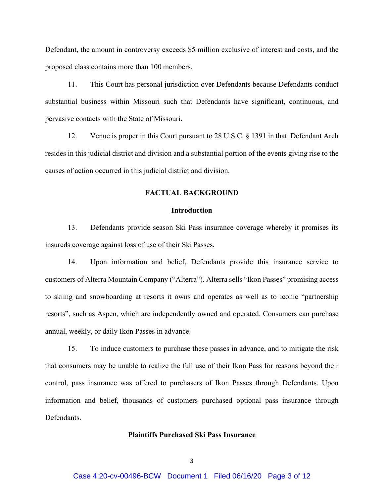Defendant, the amount in controversy exceeds \$5 million exclusive of interest and costs, and the proposed class contains more than 100 members.

11. This Court has personal jurisdiction over Defendants because Defendants conduct substantial business within Missouri such that Defendants have significant, continuous, and pervasive contacts with the State of Missouri.

12. Venue is proper in this Court pursuant to 28 U.S.C. § 1391 in that Defendant Arch resides in this judicial district and division and a substantial portion of the events giving rise to the causes of action occurred in this judicial district and division.

# **FACTUAL BACKGROUND**

### **Introduction**

13. Defendants provide season Ski Pass insurance coverage whereby it promises its insureds coverage against loss of use of their Ski Passes.

 14. Upon information and belief, Defendants provide this insurance service to customers of Alterra Mountain Company ("Alterra"). Alterra sells "Ikon Passes" promising access to skiing and snowboarding at resorts it owns and operates as well as to iconic "partnership resorts", such as Aspen, which are independently owned and operated. Consumers can purchase annual, weekly, or daily Ikon Passes in advance.

 15. To induce customers to purchase these passes in advance, and to mitigate the risk that consumers may be unable to realize the full use of their Ikon Pass for reasons beyond their control, pass insurance was offered to purchasers of Ikon Passes through Defendants. Upon information and belief, thousands of customers purchased optional pass insurance through Defendants.

## **Plaintiffs Purchased Ski Pass Insurance**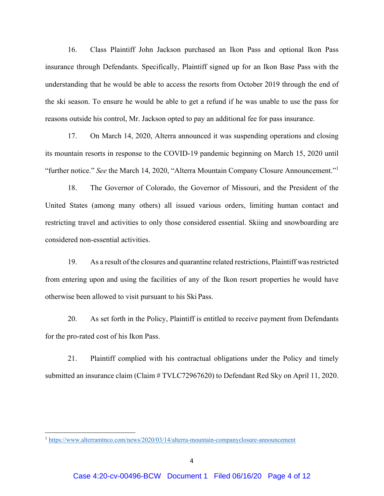16. Class Plaintiff John Jackson purchased an Ikon Pass and optional Ikon Pass insurance through Defendants. Specifically, Plaintiff signed up for an Ikon Base Pass with the understanding that he would be able to access the resorts from October 2019 through the end of the ski season. To ensure he would be able to get a refund if he was unable to use the pass for reasons outside his control, Mr. Jackson opted to pay an additional fee for pass insurance.

 17. On March 14, 2020, Alterra announced it was suspending operations and closing its mountain resorts in response to the COVID-19 pandemic beginning on March 15, 2020 until "further notice." *See* the March 14, 2020, "Alterra Mountain Company Closure Announcement."<sup>1</sup>

18. The Governor of Colorado, the Governor of Missouri, and the President of the United States (among many others) all issued various orders, limiting human contact and restricting travel and activities to only those considered essential. Skiing and snowboarding are considered non-essential activities.

19. As a result of the closures and quarantine related restrictions, Plaintiff was restricted from entering upon and using the facilities of any of the Ikon resort properties he would have otherwise been allowed to visit pursuant to his Ski Pass.

20. As set forth in the Policy, Plaintiff is entitled to receive payment from Defendants for the pro-rated cost of his Ikon Pass.

21. Plaintiff complied with his contractual obligations under the Policy and timely submitted an insurance claim (Claim # TVLC72967620) to Defendant Red Sky on April 11, 2020.

<sup>&</sup>lt;sup>1</sup> https://www.alterramtnco.com/news/2020/03/14/alterra-mountain-companyclosure-announcement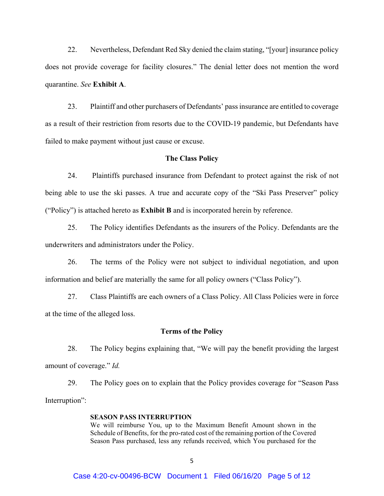22. Nevertheless, Defendant Red Sky denied the claim stating, "[your] insurance policy does not provide coverage for facility closures." The denial letter does not mention the word quarantine. *See* **Exhibit A**.

 23. Plaintiff and other purchasers of Defendants' pass insurance are entitled to coverage as a result of their restriction from resorts due to the COVID-19 pandemic, but Defendants have failed to make payment without just cause or excuse.

### **The Class Policy**

 24. Plaintiffs purchased insurance from Defendant to protect against the risk of not being able to use the ski passes. A true and accurate copy of the "Ski Pass Preserver" policy ("Policy") is attached hereto as **Exhibit B** and is incorporated herein by reference.

 25. The Policy identifies Defendants as the insurers of the Policy. Defendants are the underwriters and administrators under the Policy.

 26. The terms of the Policy were not subject to individual negotiation, and upon information and belief are materially the same for all policy owners ("Class Policy").

 27. Class Plaintiffs are each owners of a Class Policy. All Class Policies were in force at the time of the alleged loss.

#### **Terms of the Policy**

28. The Policy begins explaining that, "We will pay the benefit providing the largest amount of coverage." *Id.* 

29. The Policy goes on to explain that the Policy provides coverage for "Season Pass Interruption":

### **SEASON PASS INTERRUPTION**

We will reimburse You, up to the Maximum Benefit Amount shown in the Schedule of Benefits, for the pro-rated cost of the remaining portion of the Covered Season Pass purchased, less any refunds received, which You purchased for the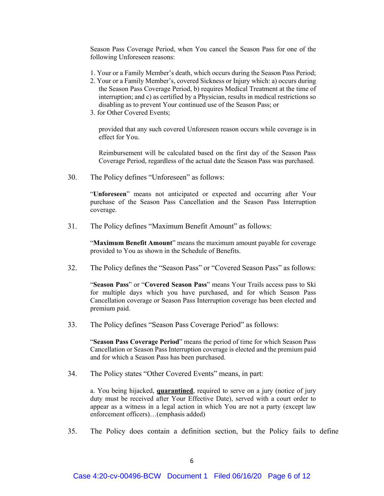Season Pass Coverage Period, when You cancel the Season Pass for one of the following Unforeseen reasons:

- 1. Your or a Family Member's death, which occurs during the Season Pass Period;
- 2. Your or a Family Member's, covered Sickness or Injury which: a) occurs during the Season Pass Coverage Period, b) requires Medical Treatment at the time of interruption; and c) as certified by a Physician, results in medical restrictions so disabling as to prevent Your continued use of the Season Pass; or
- 3. for Other Covered Events;

provided that any such covered Unforeseen reason occurs while coverage is in effect for You.

Reimbursement will be calculated based on the first day of the Season Pass Coverage Period, regardless of the actual date the Season Pass was purchased.

30. The Policy defines "Unforeseen" as follows:

"**Unforeseen**" means not anticipated or expected and occurring after Your purchase of the Season Pass Cancellation and the Season Pass Interruption coverage.

31. The Policy defines "Maximum Benefit Amount" as follows:

"**Maximum Benefit Amount**" means the maximum amount payable for coverage provided to You as shown in the Schedule of Benefits.

32. The Policy defines the "Season Pass" or "Covered Season Pass" as follows:

"**Season Pass**" or "**Covered Season Pass**" means Your Trails access pass to Ski for multiple days which you have purchased, and for which Season Pass Cancellation coverage or Season Pass Interruption coverage has been elected and premium paid.

33. The Policy defines "Season Pass Coverage Period" as follows:

"**Season Pass Coverage Period**" means the period of time for which Season Pass Cancellation or Season Pass Interruption coverage is elected and the premium paid and for which a Season Pass has been purchased.

34. The Policy states "Other Covered Events" means, in part:

a. You being hijacked, **quarantined**, required to serve on a jury (notice of jury duty must be received after Your Effective Date), served with a court order to appear as a witness in a legal action in which You are not a party (except law enforcement officers)…(emphasis added)

35. The Policy does contain a definition section, but the Policy fails to define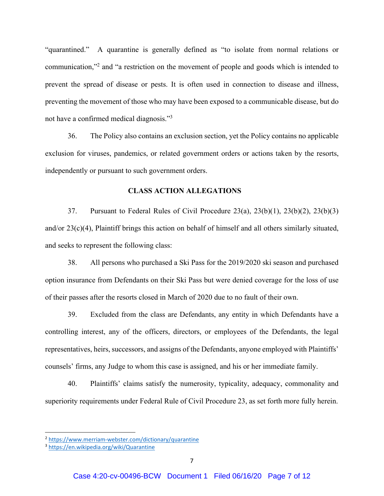"quarantined." A quarantine is generally defined as "to isolate from normal relations or communication,"<sup>2</sup> and "a restriction on the movement of people and goods which is intended to prevent the spread of disease or pests. It is often used in connection to disease and illness, preventing the movement of those who may have been exposed to a communicable disease, but do not have a confirmed medical diagnosis."<sup>3</sup>

36. The Policy also contains an exclusion section, yet the Policy contains no applicable exclusion for viruses, pandemics, or related government orders or actions taken by the resorts, independently or pursuant to such government orders.

### **CLASS ACTION ALLEGATIONS**

 37. Pursuant to Federal Rules of Civil Procedure 23(a), 23(b)(1), 23(b)(2), 23(b)(3) and/or 23(c)(4), Plaintiff brings this action on behalf of himself and all others similarly situated, and seeks to represent the following class:

38. All persons who purchased a Ski Pass for the 2019/2020 ski season and purchased option insurance from Defendants on their Ski Pass but were denied coverage for the loss of use of their passes after the resorts closed in March of 2020 due to no fault of their own.

39. Excluded from the class are Defendants, any entity in which Defendants have a controlling interest, any of the officers, directors, or employees of the Defendants, the legal representatives, heirs, successors, and assigns of the Defendants, anyone employed with Plaintiffs' counsels' firms, any Judge to whom this case is assigned, and his or her immediate family.

40. Plaintiffs' claims satisfy the numerosity, typicality, adequacy, commonality and superiority requirements under Federal Rule of Civil Procedure 23, as set forth more fully herein.

<sup>2</sup> https://www.merriam‐webster.com/dictionary/quarantine

<sup>3</sup> https://en.wikipedia.org/wiki/Quarantine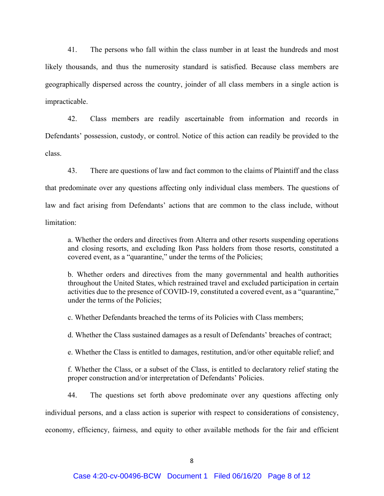41. The persons who fall within the class number in at least the hundreds and most likely thousands, and thus the numerosity standard is satisfied. Because class members are geographically dispersed across the country, joinder of all class members in a single action is impracticable.

42. Class members are readily ascertainable from information and records in Defendants' possession, custody, or control. Notice of this action can readily be provided to the class.

 43. There are questions of law and fact common to the claims of Plaintiff and the class that predominate over any questions affecting only individual class members. The questions of law and fact arising from Defendants' actions that are common to the class include, without limitation:

 a. Whether the orders and directives from Alterra and other resorts suspending operations and closing resorts, and excluding Ikon Pass holders from those resorts, constituted a covered event, as a "quarantine," under the terms of the Policies;

 b. Whether orders and directives from the many governmental and health authorities throughout the United States, which restrained travel and excluded participation in certain activities due to the presence of COVID-19, constituted a covered event, as a "quarantine," under the terms of the Policies;

c. Whether Defendants breached the terms of its Policies with Class members;

d. Whether the Class sustained damages as a result of Defendants' breaches of contract;

e. Whether the Class is entitled to damages, restitution, and/or other equitable relief; and

 f. Whether the Class, or a subset of the Class, is entitled to declaratory relief stating the proper construction and/or interpretation of Defendants' Policies.

 44. The questions set forth above predominate over any questions affecting only individual persons, and a class action is superior with respect to considerations of consistency, economy, efficiency, fairness, and equity to other available methods for the fair and efficient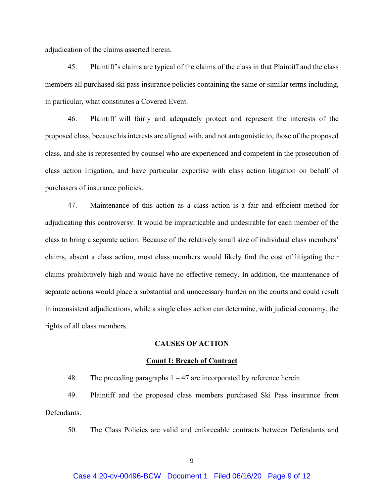adjudication of the claims asserted herein.

 45. Plaintiff's claims are typical of the claims of the class in that Plaintiff and the class members all purchased ski pass insurance policies containing the same or similar terms including, in particular, what constitutes a Covered Event.

 46. Plaintiff will fairly and adequately protect and represent the interests of the proposed class, because his interests are aligned with, and not antagonistic to, those of the proposed class, and she is represented by counsel who are experienced and competent in the prosecution of class action litigation, and have particular expertise with class action litigation on behalf of purchasers of insurance policies.

 47. Maintenance of this action as a class action is a fair and efficient method for adjudicating this controversy. It would be impracticable and undesirable for each member of the class to bring a separate action. Because of the relatively small size of individual class members' claims, absent a class action, most class members would likely find the cost of litigating their claims prohibitively high and would have no effective remedy. In addition, the maintenance of separate actions would place a substantial and unnecessary burden on the courts and could result in inconsistent adjudications, while a single class action can determine, with judicial economy, the rights of all class members.

## **CAUSES OF ACTION**

#### **Count I: Breach of Contract**

48. The preceding paragraphs  $1 - 47$  are incorporated by reference herein.

 49. Plaintiff and the proposed class members purchased Ski Pass insurance from Defendants.

50. The Class Policies are valid and enforceable contracts between Defendants and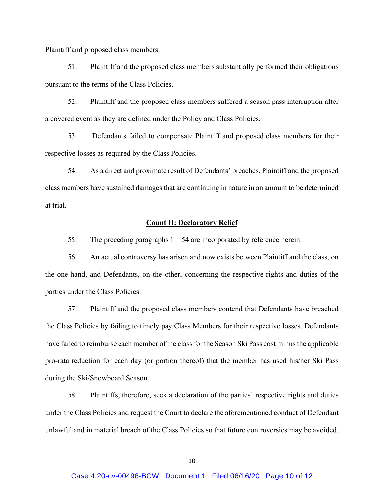Plaintiff and proposed class members.

 51. Plaintiff and the proposed class members substantially performed their obligations pursuant to the terms of the Class Policies.

 52. Plaintiff and the proposed class members suffered a season pass interruption after a covered event as they are defined under the Policy and Class Policies.

 53. Defendants failed to compensate Plaintiff and proposed class members for their respective losses as required by the Class Policies.

54. As a direct and proximate result of Defendants' breaches, Plaintiff and the proposed class members have sustained damages that are continuing in nature in an amount to be determined at trial.

### **Count II: Declaratory Relief**

55. The preceding paragraphs  $1 - 54$  are incorporated by reference herein.

 56. An actual controversy has arisen and now exists between Plaintiff and the class, on the one hand, and Defendants, on the other, concerning the respective rights and duties of the parties under the Class Policies.

57. Plaintiff and the proposed class members contend that Defendants have breached the Class Policies by failing to timely pay Class Members for their respective losses. Defendants have failed to reimburse each member of the class for the Season Ski Pass cost minus the applicable pro-rata reduction for each day (or portion thereof) that the member has used his/her Ski Pass during the Ski/Snowboard Season.

58. Plaintiffs, therefore, seek a declaration of the parties' respective rights and duties under the Class Policies and request the Court to declare the aforementioned conduct of Defendant unlawful and in material breach of the Class Policies so that future controversies may be avoided.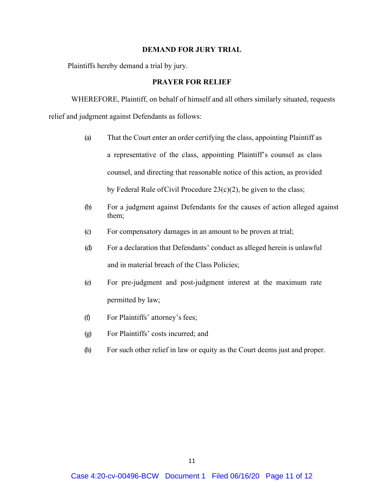### **DEMAND FOR JURY TRIAL**

Plaintiffs hereby demand a trial by jury.

## **PRAYER FOR RELIEF**

WHEREFORE, Plaintiff, on behalf of himself and all others similarly situated, requests relief and judgment against Defendants as follows:

- (a) That the Court enter an order certifying the class, appointing Plaintiff as a representative of the class, appointing Plaintiff's counsel as class counsel, and directing that reasonable notice of this action, as provided by Federal Rule of Civil Procedure  $23(c)(2)$ , be given to the class;
- (b) For a judgment against Defendants for the causes of action alleged against them;
- (c) For compensatory damages in an amount to be proven at trial;
- (d) For a declaration that Defendants' conduct as alleged herein is unlawful and in material breach of the Class Policies;
- (e) For pre-judgment and post-judgment interest at the maximum rate permitted by law;
- (f) For Plaintiffs' attorney's fees;
- (g) For Plaintiffs' costs incurred; and
- (h) For such other relief in law or equity as the Court deems just and proper.